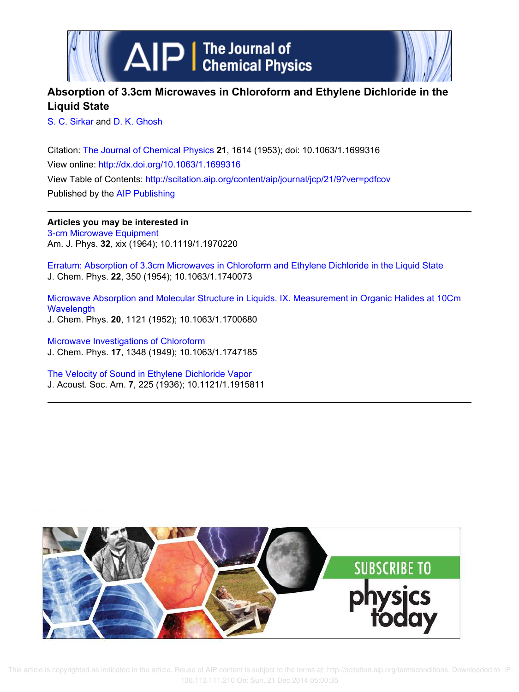



## **Absorption of 3.3cm Microwaves in Chloroform and Ethylene Dichloride in the Liquid State**

S. C. Sirkar and D. K. Ghosh

Citation: The Journal of Chemical Physics **21**, 1614 (1953); doi: 10.1063/1.1699316 View online: http://dx.doi.org/10.1063/1.1699316 View Table of Contents: http://scitation.aip.org/content/aip/journal/jcp/21/9?ver=pdfcov Published by the AIP Publishing

**Articles you may be interested in** 3-cm Microwave Equipment Am. J. Phys. **32**, xix (1964); 10.1119/1.1970220

Erratum: Absorption of 3.3cm Microwaves in Chloroform and Ethylene Dichloride in the Liquid State J. Chem. Phys. **22**, 350 (1954); 10.1063/1.1740073

Microwave Absorption and Molecular Structure in Liquids. IX. Measurement in Organic Halides at 10Cm **Wavelength** J. Chem. Phys. **20**, 1121 (1952); 10.1063/1.1700680

Microwave Investigations of Chloroform J. Chem. Phys. **17**, 1348 (1949); 10.1063/1.1747185

The Velocity of Sound in Ethylene Dichloride Vapor J. Acoust. Soc. Am. **7**, 225 (1936); 10.1121/1.1915811



 This article is copyrighted as indicated in the article. Reuse of AIP content is subject to the terms at: http://scitation.aip.org/termsconditions. Downloaded to IP: 130.113.111.210 On: Sun, 21 Dec 2014 05:00:35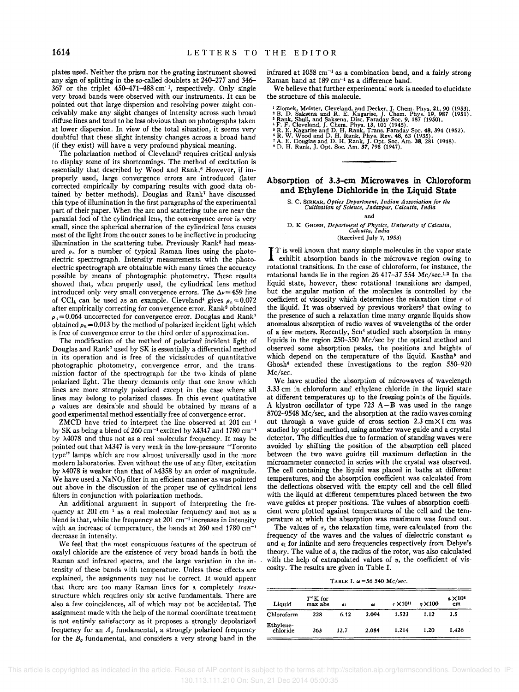plates used. Neither the prism nor the grating instrument showed any sign of splitting in the so-called doublets at 240-277 and 346- 367 or the triplet 450-471-488 cm-I , respectively. Only single very broad bands were observed with our instruments. It can be pointed out that large dispersion and resolving power might conceivably make any slight changes of intensity across such broad diffuse lines and tend to be less obvious than on photographs taken at lower dispersion. In view of the total situation, it seems very doubtful that these slight intensity changes across a broad band (if they exist) will have a very profound physical meaning.

The polarization method of Cleveland<sup>4</sup> requires critical anlysis to display some of its shortcomings. The method of excitation is essentially that described by Wood and Rank.<sup>6</sup> However, if improperly used, large convergence errors are introduced (later corrected empirically by comparing results with good data obtained by better methods). Douglas and Rank7 have discussed this type of illumination in the first paragraphs of the experimental part of their paper. When the arc and scattering tube are near the paraxial foci of the cylindrical lens, the convergence error is very small, since the spherical aberration of the cylindrical lens causes most of the light from the outer zones to be ineffective in producing illumination in the scattering tube. Previously Rank<sup>8</sup> had measured  $\rho_n$  for a number of typical Raman lines using the photoelectric spectrograph. Intensity measurements with the photoelectric spectrograph are obtainable with many times the accuracy possible by means of photographic photometry. These results showed that, when properly used, the cylindrical lens method introduced only very small convergence errors. The  $\Delta \nu = 459$  line of CCl<sub>4</sub> can be used as an example. Cleveland<sup>4</sup> gives  $\rho_n = 0.072$ after empirically correcting for convergence error. Rank<sup>8</sup> obtained  $p_a=0.064$  uncorrected for convergence error. Douglas and Rank<sup>7</sup> obtained  $\rho_n = 0.013$  by the method of polarized incident light which is free of convergence error to the third order of approximation.

The modification of the method of polarized incident light of Douglas and Rank' used by SK is essentially a differential method in its operation and is free of the vicissitudes of quantitative photographic photometry, convergence error, and the transmission factor of the spectrograph for the two kinds of plane polarized light. The theory demands only that one know which lines are more strongly polarized except in the case where all lines may belong to polarized classes. In this event quatitative *P* values are desirable and should be obtained by means of a good experimental method essentially free of convergence error.

ZMCD have tried to interpret the line observed at  $201 \text{ cm}^{-1}$ by SK as being a blend of 260 cm<sup>-1</sup> excited by  $\lambda$ 4347 and 1780 cm<sup>-1</sup> by M078 and thus not as a real molecular frequency. It may be pointed out that M347 is very weak in the low-pressure "Toronto type" lamps which are now almost universally used in the more modern laboratories. Even without the use of any filter, excitation by  $\lambda$ 4078 is weaker than that of  $\lambda$ 4358 by an order of magnitude. We have used a NaNO<sub>2</sub> filter in an efficient manner as was pointed out above in the discussion of the proper use of cylindrical lens filters in conjunction with polarization methods.

An additional argument in support of interpreting the frequency at  $201$  cm<sup>-1</sup> as a real molecular frequency and not as a blend is that, while the frequency at 201 cm<sup>-1</sup> increases in intensity with an increase of temperature, the bands at 260 and 1780 cm<sup>-1</sup> decrease in intensity.

We feel that the most conspicuous features of the spectrum of oxalyl chloride are the existence of very broad bands in both the Raman and infrared spectra, and the large variation in the intensity of these bands with temperature. Unless these effects are explained, the assignments may not he correct. It would appear that there are too many Raman lines for a completely *trans*structure which requires only six active fundamentals. There are also a few coincidences, all of which may not be accidental. The assignment made with the help of the normal coordinate treatment is not entirely satisfactory as it proposes a strongly depolarized frequency for an  $A_{\theta}$  fundamental, a strongly polarized frequency for the  $B<sub>g</sub>$  fundamental, and considers a very strong band in the

infrared at 1058  $\rm cm^{-1}$  as a combination band, and a fairly strong Raman band at 189 cm<sup>-1</sup> as a difference band.

We believe that further experimental work is needed to elucidate the structure of this molecule.

<sup>1</sup> Ziomek, Meister, Cleveland, and Decker, J. Chem. Phys. 21, 90 (1953). <sup>2</sup> B. D. Saksena and R. E. Kagarise, J. Chem. Phys. 19, 987 (1951). PRIME, B. Rank, Shull, and Saksena, Disc. Faraday Soc. 9, 187 (1950). <sup>4</sup> F. F.

## **Absorption of 3.3-cm Microwaves in Chloroform and Ethylene Dichloride in the Liquid State**

s. c. SIRKAR, *Optics Department, Indian Association for the Cultivation of Science, Jadavpur, Calcutta, India* 

and

D. K. GHOSH, *Department of Physics, University of Calcutta, Calcutta, India* 

(Received July 7, 1953)

I T is well known that many simple molecules in the vapor state exhibit absorption bands in the microwave region owing to rotational transitions. In the case of chloroform, for instance, the T is well known that many simple molecules in the vapor state exhibit absorption bands in the microwave region owing to rotational bands lie in the region 26 417-37 554 Mc/sec.<sup>1,2</sup> In the liquid state, however, these rotational transitions are damped, but the angular motion of the molecules is controlled by the coefficient of viscosity which determines the relaxation time *T* of the liquid. It was observed by previous workers<sup>3</sup> that owing to the presence of such a relaxation time many organic liquids show anomalous absorption of radio waves of wavelengths of the order of a few meters. Recently, Sen' studied such absorption in many liquids in the region 250-550 Me/sec by the optical method and observed some absorption peaks, the positions and heights of which depend on the temperature of the liquid. Kastha<sup>5</sup> and Ghosh<sup>6</sup> extended these investigations to the region 550-920 Me/sec.

We have studied the absorption of microwaves of wavelength 3.33 cm in chloroform and ethylene chloride in the liquid state at different temperatures up to the freezing points of the liquids. A klystron oscillator of type  $723$  A-B was used in the range 8702-9548 Me/sec, and the absorption at the radio waves coming out through a wave guide of cross section  $2.3 \text{ cm} \times 1 \text{ cm}$  was studied by optical method, using another wave guide and a crystal detector. The difficulties due to formation of standing waves were avoided by shifting the position of the absorption cell placed between the two wave guides till maximum deflection in the microammeter connected in series with the crystal was observed. The cell containing the liquid was placed in baths at different temperatures, and the absorption coefficient was calculated from the deflections observed with the empty cell and the cell filled with the liquid at different temperatures placed between the two wave guides at proper positions. The values of absorption coefficient were plotted against temperatures of the cell and the temperature at which the absorption was maximum was found out.

The values of  $\tau$ , the relaxation time, were calculated from the frequency of the waves and the values of dielectric constant  $\epsilon_0$ and  $\epsilon_1$  for infinite and zero frequencies respectively from Debye's theory. The value of *a,* the radius of the rotor, was also calculated with the help of extrapolated values of  $\eta$ , the coefficient of viscosity. The results are given in Table 1.

TABLE I.  $\omega = 56$  540 Mc/sec.

| Liquid                | $T^{\circ}$ K for<br>max abs | €1   | €0    | $\tau$ × 10 <sup>11</sup> | $\pi$ $\times$ 100 | $a \times 10^5$<br>cm |
|-----------------------|------------------------------|------|-------|---------------------------|--------------------|-----------------------|
| Chloroform            | 228                          | 6.12 | 2.094 | 1.523                     | 1.12               | 1.5                   |
| Ethylene-<br>chloride | 263                          | 12.7 | 2.084 | 1.214                     | 1.20               | 1.426                 |